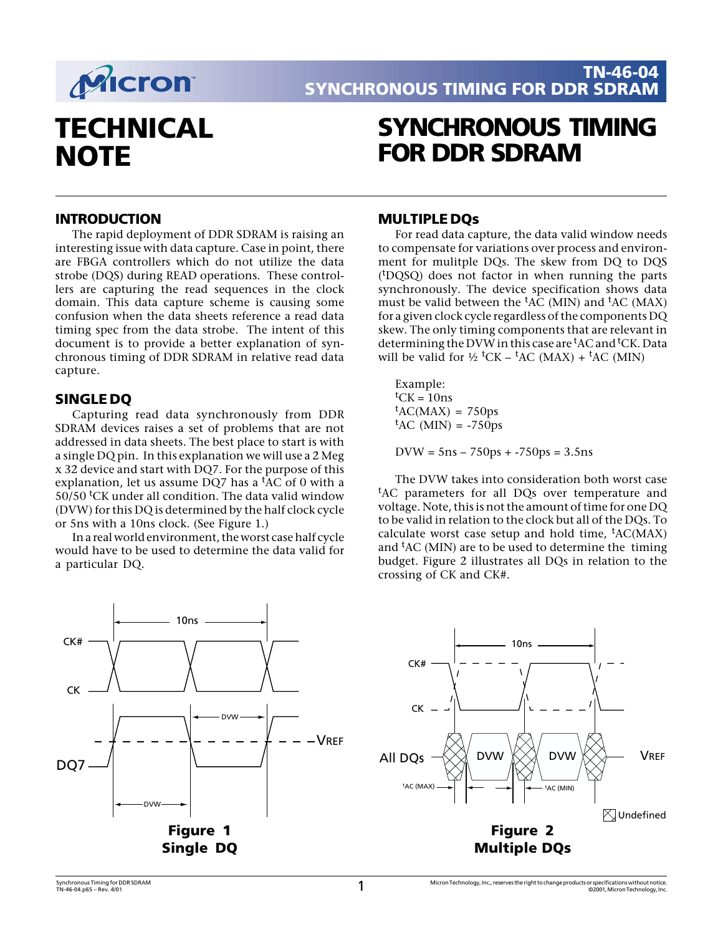

# **TECHNICAL NOTE**

## **SYNCHRONOUS TIMING FOR DDR SDRAM**

### **INTRODUCTION**

The rapid deployment of DDR SDRAM is raising an interesting issue with data capture. Case in point, there are FBGA controllers which do not utilize the data strobe (DQS) during READ operations. These controllers are capturing the read sequences in the clock domain. This data capture scheme is causing some confusion when the data sheets reference a read data timing spec from the data strobe. The intent of this document is to provide a better explanation of synchronous timing of DDR SDRAM in relative read data capture.

## **SINGLE DQ**

Capturing read data synchronously from DDR SDRAM devices raises a set of problems that are not addressed in data sheets. The best place to start is with a single DQ pin. In this explanation we will use a 2 Meg x 32 device and start with DQ7. For the purpose of this explanation, let us assume DQ7 has a  ${}^{\text{t}}$ AC of 0 with a 50/50 <sup>t</sup>CK under all condition. The data valid window (DVW) for this DQ is determined by the half clock cycle or 5ns with a 10ns clock. (See Figure 1.)

In a real world environment, the worst case half cycle would have to be used to determine the data valid for a particular DQ.



#### **MULTIPLE DQs**

For read data capture, the data valid window needs to compensate for variations over process and environment for mulitple DQs. The skew from DQ to DQS (t DQSQ) does not factor in when running the parts synchronously. The device specification shows data must be valid between the  ${}^{\text{t}}$ AC (MIN) and  ${}^{\text{t}}$ AC (MAX) for a given clock cycle regardless of the components DQ skew. The only timing components that are relevant in determining the DVW in this case are <sup>t</sup>AC and <sup>t</sup>CK. Data will be valid for  $\frac{1}{2}$  <sup>t</sup>CK – <sup>t</sup>AC (MAX) + <sup>t</sup>AC (MIN)

Example:  ${}^{\text{t}}$ CK = 10ns  ${}^{\text{t}}$ AC(MAX) = 750ps  ${}^{\text{t}}$ AC (MIN) = -750ps

 $DVW = 5ns - 750ps + -750ps = 3.5ns$ 

The DVW takes into consideration both worst case <sup>t</sup>AC parameters for all DQs over temperature and voltage. Note, this is not the amount of time for one DQ to be valid in relation to the clock but all of the DQs. To calculate worst case setup and hold time, <sup>t</sup>AC(MAX) and <sup>t</sup>AC (MIN) are to be used to determine the timing budget. Figure 2 illustrates all DQs in relation to the crossing of CK and CK#.

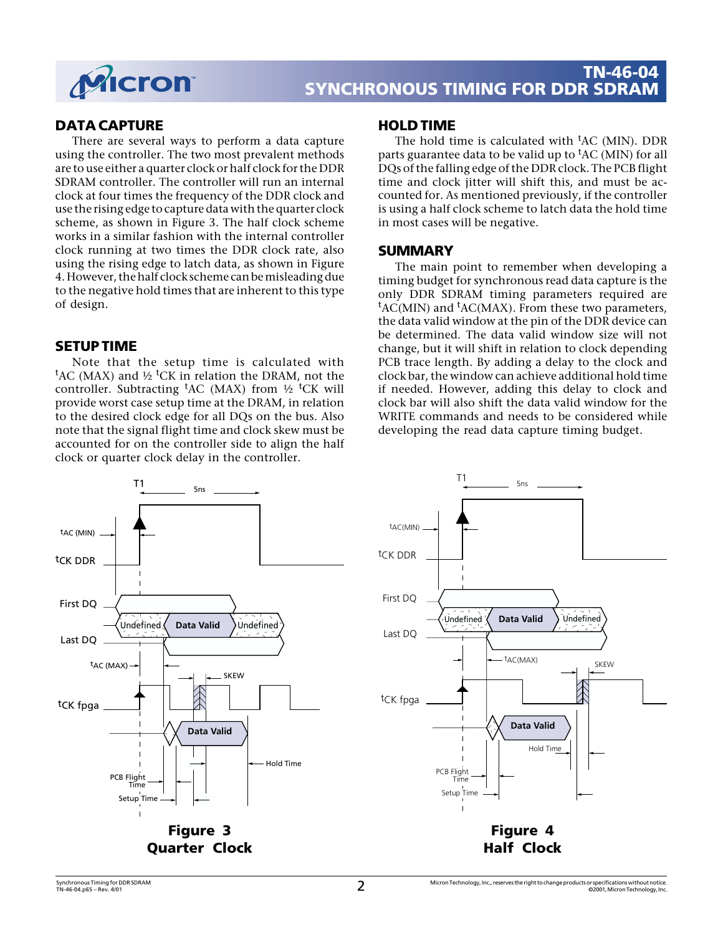

## **TN-46-04 SYNCHRONOUS TIMING FOR DDR SDRAM**

## **DATA CAPTURE**

There are several ways to perform a data capture using the controller. The two most prevalent methods are to use either a quarter clock or half clock for the DDR SDRAM controller. The controller will run an internal clock at four times the frequency of the DDR clock and use the rising edge to capture data with the quarter clock scheme, as shown in Figure 3. The half clock scheme works in a similar fashion with the internal controller clock running at two times the DDR clock rate, also using the rising edge to latch data, as shown in Figure 4. However, the half clock scheme can be misleading due to the negative hold times that are inherent to this type of design.

## **SETUP TIME**

Note that the setup time is calculated with <sup>t</sup>AC (MAX) and ½ <sup>t</sup>CK in relation the DRAM, not the controller. Subtracting <sup>t</sup>AC (MAX) from ½ <sup>t</sup>CK will provide worst case setup time at the DRAM, in relation to the desired clock edge for all DQs on the bus. Also note that the signal flight time and clock skew must be accounted for on the controller side to align the half clock or quarter clock delay in the controller.

#### **HOLD TIME**

The hold time is calculated with <sup>t</sup>AC (MIN). DDR parts guarantee data to be valid up to <sup>t</sup>AC (MIN) for all DQs of the falling edge of the DDR clock. The PCB flight time and clock jitter will shift this, and must be accounted for. As mentioned previously, if the controller is using a half clock scheme to latch data the hold time in most cases will be negative.

## **SUMMARY**

The main point to remember when developing a timing budget for synchronous read data capture is the only DDR SDRAM timing parameters required are <sup>t</sup>AC(MIN) and <sup>t</sup>AC(MAX). From these two parameters, the data valid window at the pin of the DDR device can be determined. The data valid window size will not change, but it will shift in relation to clock depending PCB trace length. By adding a delay to the clock and clock bar, the window can achieve additional hold time if needed. However, adding this delay to clock and clock bar will also shift the data valid window for the WRITE commands and needs to be considered while developing the read data capture timing budget.